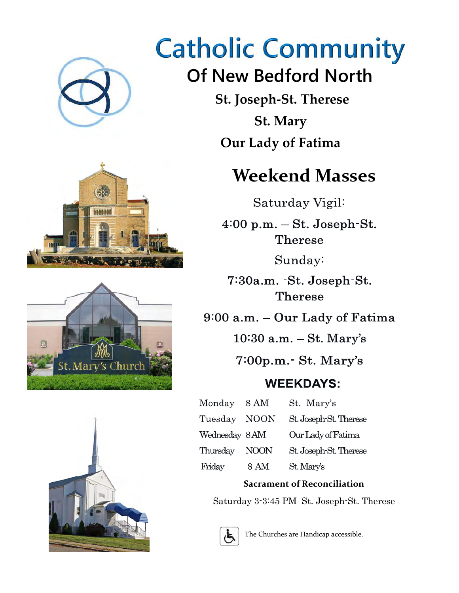

# **Catholic Community**

## **Of New Bedford North**

 **St. Joseph-St. Therese St. Mary Our Lady of Fatima** 

### **Weekend Masses**

Saturday Vigil:

 $4:00$  p.m.  $-$  St. Joseph-St. **Therese** 

Sunday:

7:30a.m. -St. Joseph-St. Therese

9:00 a.m. - Our Lady of Fatima

 $10:30$  a.m.  $-$  St. Mary's

 $7:00p.m.-St. Mary's$ 

### **WEEKDAYS:**

| Monday 8 AM   |             | St. Mary's             |
|---------------|-------------|------------------------|
| Tuesday       | <b>NOON</b> | St. Joseph-St. Therese |
| Wednesday 8AM |             | Our Lady of Fatima     |
| Thursday      | <b>NOON</b> | St. Joseph-St. Therese |
| Friday        | 8 AM        | St. Mary's             |

#### **Sacrament of Reconciliation**

Saturday 3-3:45 PM St. Joseph-St. Therese



The Churches are Handicap accessible.





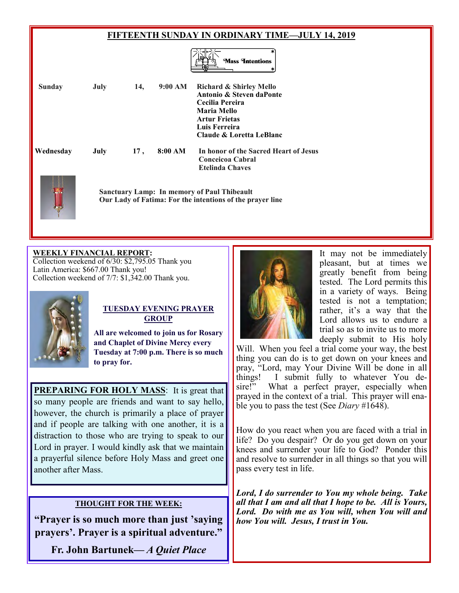#### **FIFTEENTH SUNDAY IN ORDINARY TIME—JULY 14, 2019**



| <b>Sunday</b> | July | 14, | 9:00 AM | Richard & Shirley Mello<br>Antonio & Steven daPonte<br>Cecilia Pereira<br>Maria Mello<br><b>Artur Frietas</b><br>Luis Ferreira<br>Claude & Loretta LeBlanc |
|---------------|------|-----|---------|------------------------------------------------------------------------------------------------------------------------------------------------------------|
| Wednesday     | July | 17, | 8:00 AM | In honor of the Sacred Heart of Jesus<br>Conceicoa Cabral<br><b>Etelinda Chaves</b>                                                                        |
|               |      |     |         | <b>Sanctuary Lamp: In memory of Paul Thibeault</b><br>Our Lady of Fatima: For the intentions of the prayer line                                            |

#### **WEEKLY FINANCIAL REPORT:**

Collection weekend of 6/30: \$2,795.05 Thank you Latin America: \$667.00 Thank you! Collection weekend of 7/7: \$1,342.00 Thank you.



#### **TUESDAY EVENING PRAYER GROUP**

**All are welcomed to join us for Rosary and Chaplet of Divine Mercy every Tuesday at 7:00 p.m. There is so much to pray for.** 

**PREPARING FOR HOLY MASS**: It is great that so many people are friends and want to say hello, however, the church is primarily a place of prayer and if people are talking with one another, it is a distraction to those who are trying to speak to our Lord in prayer. I would kindly ask that we maintain a prayerful silence before Holy Mass and greet one another after Mass.

#### **THOUGHT FOR THE WEEK:**

**"Prayer is so much more than just 'saying prayers'. Prayer is a spiritual adventure."**

**Fr. John Bartunek—** *A Quiet Place*



It may not be immediately pleasant, but at times we greatly benefit from being tested. The Lord permits this in a variety of ways. Being tested is not a temptation; rather, it's a way that the Lord allows us to endure a trial so as to invite us to more deeply submit to His holy

Will. When you feel a trial come your way, the best thing you can do is to get down on your knees and pray, "Lord, may Your Divine Will be done in all things! I submit fully to whatever You desire!" What a perfect prayer, especially when prayed in the context of a trial. This prayer will enable you to pass the test (See *Diary* #1648).

How do you react when you are faced with a trial in life? Do you despair? Or do you get down on your knees and surrender your life to God? Ponder this and resolve to surrender in all things so that you will pass every test in life.

*Lord, I do surrender to You my whole being. Take all that I am and all that I hope to be. All is Yours, Lord. Do with me as You will, when You will and how You will. Jesus, I trust in You.*